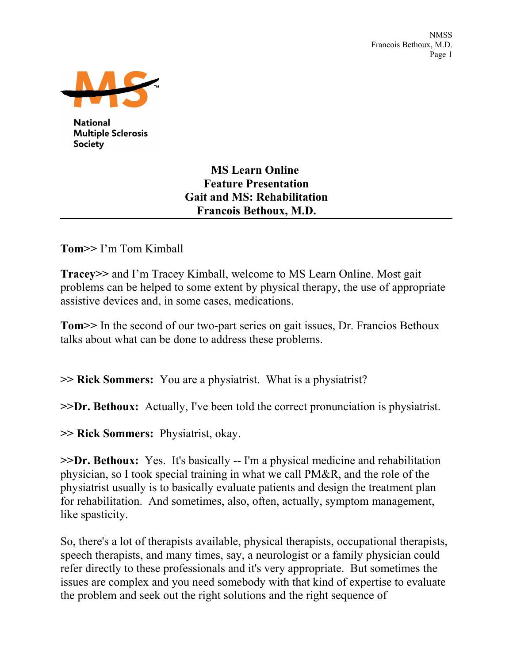

**National Multiple Sclerosis** Society

## **MS Learn Online Feature Presentation Gait and MS: Rehabilitation Francois Bethoux, M.D.**

**Tom>>** I'm Tom Kimball

**Tracey>>** and I'm Tracey Kimball, welcome to MS Learn Online. Most gait problems can be helped to some extent by physical therapy, the use of appropriate assistive devices and, in some cases, medications.

**Tom>>** In the second of our two-part series on gait issues, Dr. Francios Bethoux talks about what can be done to address these problems.

**>> Rick Sommers:** You are a physiatrist. What is a physiatrist?

**>>Dr. Bethoux:** Actually, I've been told the correct pronunciation is physiatrist.

**>> Rick Sommers:** Physiatrist, okay.

**>>Dr. Bethoux:** Yes. It's basically -- I'm a physical medicine and rehabilitation physician, so I took special training in what we call PM&R, and the role of the physiatrist usually is to basically evaluate patients and design the treatment plan for rehabilitation. And sometimes, also, often, actually, symptom management, like spasticity.

So, there's a lot of therapists available, physical therapists, occupational therapists, speech therapists, and many times, say, a neurologist or a family physician could refer directly to these professionals and it's very appropriate. But sometimes the issues are complex and you need somebody with that kind of expertise to evaluate the problem and seek out the right solutions and the right sequence of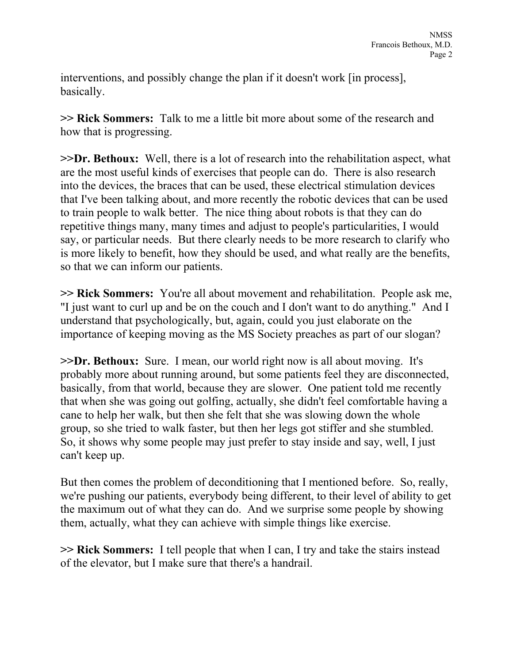interventions, and possibly change the plan if it doesn't work [in process], basically.

**>> Rick Sommers:** Talk to me a little bit more about some of the research and how that is progressing.

**>>Dr. Bethoux:** Well, there is a lot of research into the rehabilitation aspect, what are the most useful kinds of exercises that people can do. There is also research into the devices, the braces that can be used, these electrical stimulation devices that I've been talking about, and more recently the robotic devices that can be used to train people to walk better. The nice thing about robots is that they can do repetitive things many, many times and adjust to people's particularities, I would say, or particular needs. But there clearly needs to be more research to clarify who is more likely to benefit, how they should be used, and what really are the benefits, so that we can inform our patients.

**>> Rick Sommers:** You're all about movement and rehabilitation. People ask me, "I just want to curl up and be on the couch and I don't want to do anything." And I understand that psychologically, but, again, could you just elaborate on the importance of keeping moving as the MS Society preaches as part of our slogan?

**>>Dr. Bethoux:** Sure. I mean, our world right now is all about moving. It's probably more about running around, but some patients feel they are disconnected, basically, from that world, because they are slower. One patient told me recently that when she was going out golfing, actually, she didn't feel comfortable having a cane to help her walk, but then she felt that she was slowing down the whole group, so she tried to walk faster, but then her legs got stiffer and she stumbled. So, it shows why some people may just prefer to stay inside and say, well, I just can't keep up.

But then comes the problem of deconditioning that I mentioned before. So, really, we're pushing our patients, everybody being different, to their level of ability to get the maximum out of what they can do. And we surprise some people by showing them, actually, what they can achieve with simple things like exercise.

**>> Rick Sommers:** I tell people that when I can, I try and take the stairs instead of the elevator, but I make sure that there's a handrail.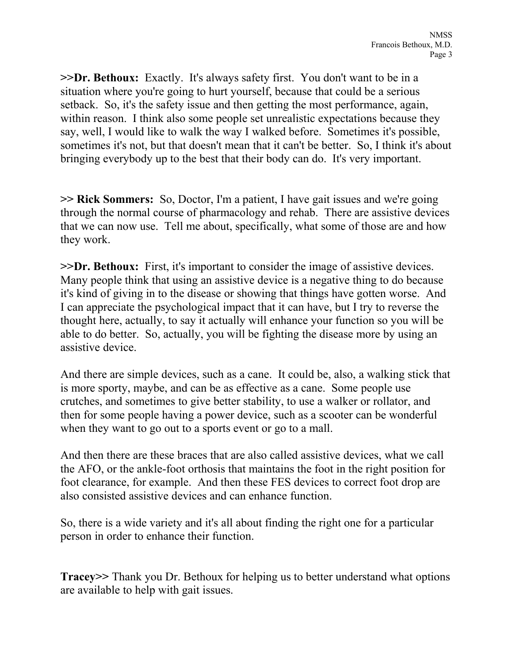**>>Dr. Bethoux:** Exactly. It's always safety first. You don't want to be in a situation where you're going to hurt yourself, because that could be a serious setback. So, it's the safety issue and then getting the most performance, again, within reason. I think also some people set unrealistic expectations because they say, well, I would like to walk the way I walked before. Sometimes it's possible, sometimes it's not, but that doesn't mean that it can't be better. So, I think it's about bringing everybody up to the best that their body can do. It's very important.

**>> Rick Sommers:** So, Doctor, I'm a patient, I have gait issues and we're going through the normal course of pharmacology and rehab. There are assistive devices that we can now use. Tell me about, specifically, what some of those are and how they work.

**>>Dr. Bethoux:** First, it's important to consider the image of assistive devices. Many people think that using an assistive device is a negative thing to do because it's kind of giving in to the disease or showing that things have gotten worse. And I can appreciate the psychological impact that it can have, but I try to reverse the thought here, actually, to say it actually will enhance your function so you will be able to do better. So, actually, you will be fighting the disease more by using an assistive device.

And there are simple devices, such as a cane. It could be, also, a walking stick that is more sporty, maybe, and can be as effective as a cane. Some people use crutches, and sometimes to give better stability, to use a walker or rollator, and then for some people having a power device, such as a scooter can be wonderful when they want to go out to a sports event or go to a mall.

And then there are these braces that are also called assistive devices, what we call the AFO, or the ankle-foot orthosis that maintains the foot in the right position for foot clearance, for example. And then these FES devices to correct foot drop are also consisted assistive devices and can enhance function.

So, there is a wide variety and it's all about finding the right one for a particular person in order to enhance their function.

**Tracey>>** Thank you Dr. Bethoux for helping us to better understand what options are available to help with gait issues.